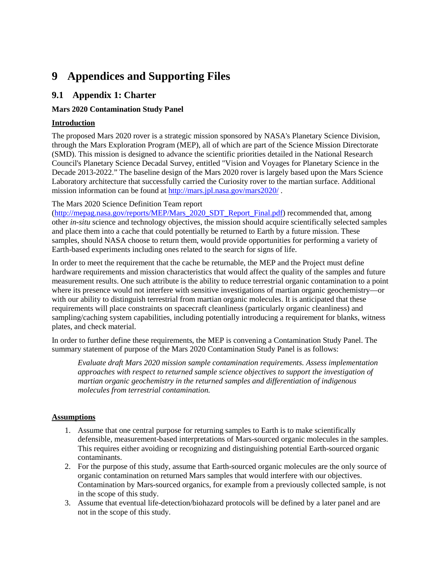# **9 Appendices and Supporting Files**

# **9.1 Appendix 1: Charter**

# **Mars 2020 Contamination Study Panel**

# **Introduction**

The proposed Mars 2020 rover is a strategic mission sponsored by NASA's Planetary Science Division, through the Mars Exploration Program (MEP), all of which are part of the Science Mission Directorate (SMD). This mission is designed to advance the scientific priorities detailed in the National Research Council's Planetary Science Decadal Survey, entitled "Vision and Voyages for Planetary Science in the Decade 2013-2022." The baseline design of the Mars 2020 rover is largely based upon the Mars Science Laboratory architecture that successfully carried the Curiosity rover to the martian surface. Additional mission information can be found at <http://mars.jpl.nasa.gov/mars2020/> .

#### The Mars 2020 Science Definition Team report

([http://mepag.nasa.gov/reports/MEP/Mars\\_2020\\_SDT\\_Report\\_Final.pdf\)](http://mepag.nasa.gov/reports/MEP/Mars_2020_SDT_Report_Final.pdf) recommended that, among other *in-situ* science and technology objectives, the mission should acquire scientifically selected samples and place them into a cache that could potentially be returned to Earth by a future mission. These samples, should NASA choose to return them, would provide opportunities for performing a variety of Earth-based experiments including ones related to the search for signs of life.

In order to meet the requirement that the cache be returnable, the MEP and the Project must define hardware requirements and mission characteristics that would affect the quality of the samples and future measurement results. One such attribute is the ability to reduce terrestrial organic contamination to a point where its presence would not interfere with sensitive investigations of martian organic geochemistry—or with our ability to distinguish terrestrial from martian organic molecules. It is anticipated that these requirements will place constraints on spacecraft cleanliness (particularly organic cleanliness) and sampling/caching system capabilities, including potentially introducing a requirement for blanks, witness plates, and check material.

In order to further define these requirements, the MEP is convening a Contamination Study Panel. The summary statement of purpose of the Mars 2020 Contamination Study Panel is as follows:

*Evaluate draft Mars 2020 mission sample contamination requirements. Assess implementation approaches with respect to returned sample science objectives to support the investigation of martian organic geochemistry in the returned samples and differentiation of indigenous molecules from terrestrial contamination.* 

# **Assumptions**

- 1. Assume that one central purpose for returning samples to Earth is to make scientifically defensible, measurement-based interpretations of Mars-sourced organic molecules in the samples. This requires either avoiding or recognizing and distinguishing potential Earth-sourced organic contaminants.
- 2. For the purpose of this study, assume that Earth-sourced organic molecules are the only source of organic contamination on returned Mars samples that would interfere with our objectives. Contamination by Mars-sourced organics, for example from a previously collected sample, is not in the scope of this study.
- 3. Assume that eventual life-detection/biohazard protocols will be defined by a later panel and are not in the scope of this study.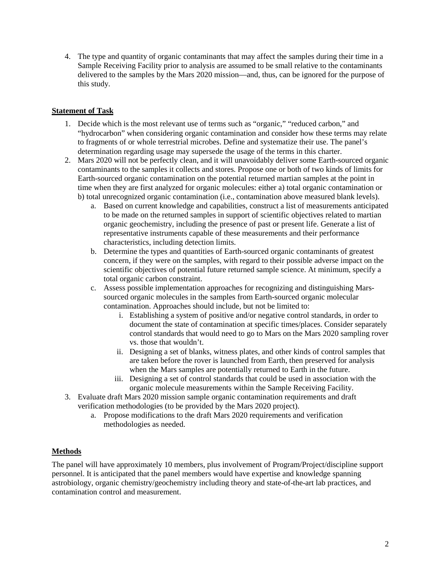4. The type and quantity of organic contaminants that may affect the samples during their time in a Sample Receiving Facility prior to analysis are assumed to be small relative to the contaminants delivered to the samples by the Mars 2020 mission—and, thus, can be ignored for the purpose of this study.

# **Statement of Task**

- 1. Decide which is the most relevant use of terms such as "organic," "reduced carbon," and "hydrocarbon" when considering organic contamination and consider how these terms may relate to fragments of or whole terrestrial microbes. Define and systematize their use. The panel's determination regarding usage may supersede the usage of the terms in this charter.
- 2. Mars 2020 will not be perfectly clean, and it will unavoidably deliver some Earth-sourced organic contaminants to the samples it collects and stores. Propose one or both of two kinds of limits for Earth-sourced organic contamination on the potential returned martian samples at the point in time when they are first analyzed for organic molecules: either a) total organic contamination or b) total unrecognized organic contamination (i.e., contamination above measured blank levels).
	- a. Based on current knowledge and capabilities, construct a list of measurements anticipated to be made on the returned samples in support of scientific objectives related to martian organic geochemistry, including the presence of past or present life. Generate a list of representative instruments capable of these measurements and their performance characteristics, including detection limits.
	- b. Determine the types and quantities of Earth-sourced organic contaminants of greatest concern, if they were on the samples, with regard to their possible adverse impact on the scientific objectives of potential future returned sample science. At minimum, specify a total organic carbon constraint.
	- c. Assess possible implementation approaches for recognizing and distinguishing Marssourced organic molecules in the samples from Earth-sourced organic molecular contamination. Approaches should include, but not be limited to:
		- i. Establishing a system of positive and/or negative control standards, in order to document the state of contamination at specific times/places. Consider separately control standards that would need to go to Mars on the Mars 2020 sampling rover vs. those that wouldn't.
		- ii. Designing a set of blanks, witness plates, and other kinds of control samples that are taken before the rover is launched from Earth, then preserved for analysis when the Mars samples are potentially returned to Earth in the future.
		- iii. Designing a set of control standards that could be used in association with the organic molecule measurements within the Sample Receiving Facility.
- 3. Evaluate draft Mars 2020 mission sample organic contamination requirements and draft verification methodologies (to be provided by the Mars 2020 project).
	- a. Propose modifications to the draft Mars 2020 requirements and verification methodologies as needed.

# **Methods**

The panel will have approximately 10 members, plus involvement of Program/Project/discipline support personnel. It is anticipated that the panel members would have expertise and knowledge spanning astrobiology, organic chemistry/geochemistry including theory and state-of-the-art lab practices, and contamination control and measurement.